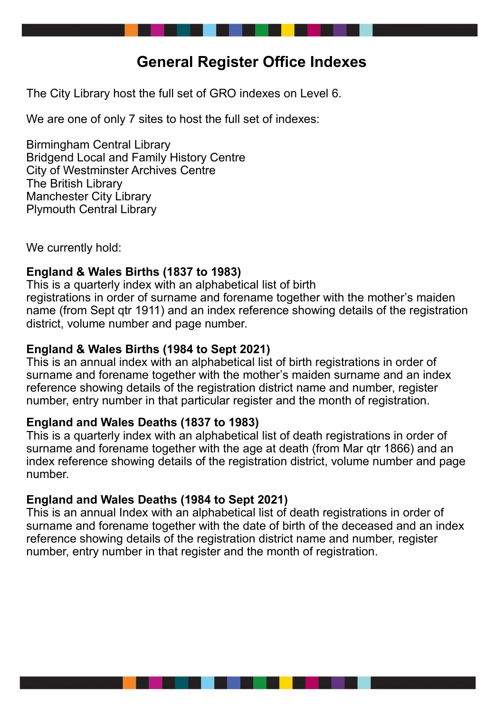# **General Register Office Indexes**

The City Library host the full set of GRO indexes on Level 6.

We are one of only 7 sites to host the full set of indexes:

Birmingham Central Library Bridgend Local and Family History Centre City of Westminster Archives Centre The British Library Manchester City Library Plymouth Central Library

We currently hold:

## **England & Wales Births (1837 to 1983)**

This is a quarterly index with an alphabetical list of birth registrations in order of surname and forename together with the mother's maiden name (from Sept qtr 1911) and an index reference showing details of the registration district, volume number and page number.

## **England & Wales Births (1984 to Sept 2021)**

This is an annual index with an alphabetical list of birth registrations in order of surname and forename together with the mother's maiden surname and an index reference showing details of the registration district name and number, register number, entry number in that particular register and the month of registration.

## **England and Wales Deaths (1837 to 1983)**

This is a quarterly index with an alphabetical list of death registrations in order of surname and forename together with the age at death (from Mar gtr 1866) and an index reference showing details of the registration district, volume number and page number.

## **England and Wales Deaths (1984 to Sept 2021)**

This is an annual Index with an alphabetical list of death registrations in order of surname and forename together with the date of birth of the deceased and an index reference showing details of the registration district name and number, register number, entry number in that register and the month of registration.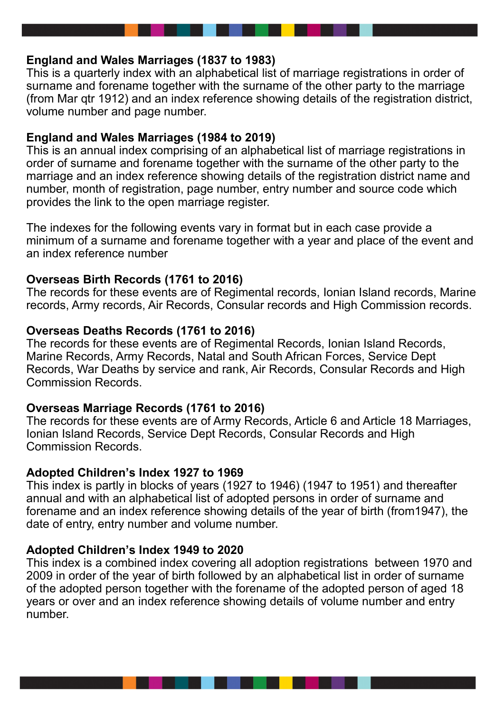#### **England and Wales Marriages (1837 to 1983)**

This is a quarterly index with an alphabetical list of marriage registrations in order of surname and forename together with the surname of the other party to the marriage (from Mar qtr 1912) and an index reference showing details of the registration district, volume number and page number.

#### **England and Wales Marriages (1984 to 2019)**

This is an annual index comprising of an alphabetical list of marriage registrations in order of surname and forename together with the surname of the other party to the marriage and an index reference showing details of the registration district name and number, month of registration, page number, entry number and source code which provides the link to the open marriage register.

The indexes for the following events vary in format but in each case provide a minimum of a surname and forename together with a year and place of the event and an index reference number

#### **Overseas Birth Records (1761 to 2016)**

The records for these events are of Regimental records, Ionian Island records, Marine records, Army records, Air Records, Consular records and High Commission records.

#### **Overseas Deaths Records (1761 to 2016)**

The records for these events are of Regimental Records, Ionian Island Records, Marine Records, Army Records, Natal and South African Forces, Service Dept Records, War Deaths by service and rank, Air Records, Consular Records and High Commission Records.

## **Overseas Marriage Records (1761 to 2016)**

The records for these events are of Army Records, Article 6 and Article 18 Marriages, Ionian Island Records, Service Dept Records, Consular Records and High Commission Records.

## **Adopted Children's Index 1927 to 1969**

This index is partly in blocks of years (1927 to 1946) (1947 to 1951) and thereafter annual and with an alphabetical list of adopted persons in order of surname and forename and an index reference showing details of the year of birth (from1947), the date of entry, entry number and volume number.

## **Adopted Children's Index 1949 to 2020**

This index is a combined index covering all adoption registrations between 1970 and 2009 in order of the year of birth followed by an alphabetical list in order of surname of the adopted person together with the forename of the adopted person of aged 18 years or over and an index reference showing details of volume number and entry number.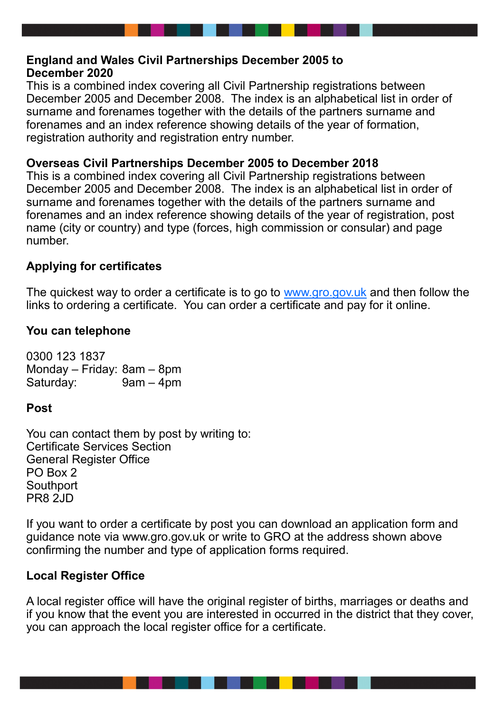#### **England and Wales Civil Partnerships December 2005 to December 2020**

This is a combined index covering all Civil Partnership registrations between December 2005 and December 2008. The index is an alphabetical list in order of surname and forenames together with the details of the partners surname and forenames and an index reference showing details of the year of formation, registration authority and registration entry number.

#### **Overseas Civil Partnerships December 2005 to December 2018**

This is a combined index covering all Civil Partnership registrations between December 2005 and December 2008. The index is an alphabetical list in order of surname and forenames together with the details of the partners surname and forenames and an index reference showing details of the year of registration, post name (city or country) and type (forces, high commission or consular) and page number.

## **Applying for certificates**

The quickest way to order a certificate is to go to [www.gro.gov.uk](http://www.direct.gov.uk/gro) and then follow the links to ordering a certificate. You can order a certificate and pay for it online.

#### **You can telephone**

0300 123 1837 Monday – Friday: 8am – 8pm Saturday: 9am – 4pm

## **Post**

You can contact them by post by writing to: Certificate Services Section General Register Office PO Box 2 **Southport** PR8 2JD

If you want to order a certificate by post you can download an application form and guidance note via www.gro.gov.uk or write to GRO at the address shown above confirming the number and type of application forms required.

## **Local Register Office**

A local register office will have the original register of births, marriages or deaths and if you know that the event you are interested in occurred in the district that they cover, you can approach the local register office for a certificate.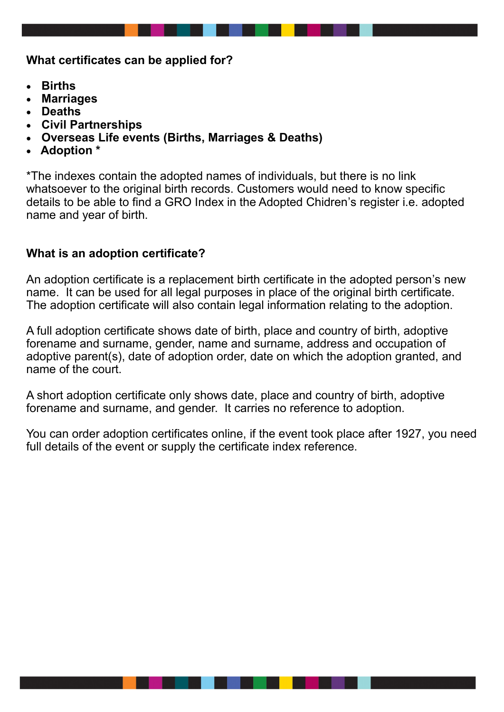#### **What certificates can be applied for?**

- **Births**
- **Marriages**
- **Deaths**
- **Civil Partnerships**
- **Overseas Life events (Births, Marriages & Deaths)**
- **Adoption \***

\*The indexes contain the adopted names of individuals, but there is no link whatsoever to the original birth records. Customers would need to know specific details to be able to find a GRO Index in the Adopted Chidren's register i.e. adopted name and year of birth.

#### **What is an adoption certificate?**

An adoption certificate is a replacement birth certificate in the adopted person's new name. It can be used for all legal purposes in place of the original birth certificate. The adoption certificate will also contain legal information relating to the adoption.

A full adoption certificate shows date of birth, place and country of birth, adoptive forename and surname, gender, name and surname, address and occupation of adoptive parent(s), date of adoption order, date on which the adoption granted, and name of the court.

A short adoption certificate only shows date, place and country of birth, adoptive forename and surname, and gender. It carries no reference to adoption.

You can order adoption certificates online, if the event took place after 1927, you need full details of the event or supply the certificate index reference.